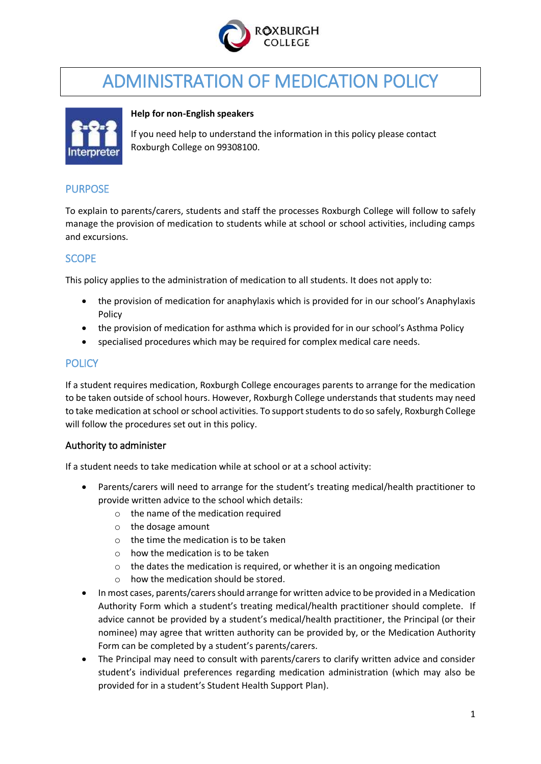

# ADMINISTRATION OF MEDICATION POLICY



#### **Help for non-English speakers**

If you need help to understand the information in this policy please contact Roxburgh College on 99308100.

# PURPOSE

To explain to parents/carers, students and staff the processes Roxburgh College will follow to safely manage the provision of medication to students while at school or school activities, including camps and excursions.

# SCOPE

This policy applies to the administration of medication to all students. It does not apply to:

- the provision of medication for anaphylaxis which is provided for in our school's Anaphylaxis Policy
- the provision of medication for asthma which is provided for in our school's Asthma Policy
- specialised procedures which may be required for complex medical care needs.

# **POLICY**

If a student requires medication, Roxburgh College encourages parents to arrange for the medication to be taken outside of school hours. However, Roxburgh College understands that students may need to take medication at school or school activities. To support students to do so safely, Roxburgh College will follow the procedures set out in this policy.

#### Authority to administer

If a student needs to take medication while at school or at a school activity:

- Parents/carers will need to arrange for the student's treating medical/health practitioner to provide written advice to the school which details:
	- o the name of the medication required
	- o the dosage amount
	- $\circ$  the time the medication is to be taken
	- $\circ$  how the medication is to be taken
	- o the dates the medication is required, or whether it is an ongoing medication
	- o how the medication should be stored.
- In most cases, parents/carers should arrange for written advice to be provided in a Medication Authority Form which a student's treating medical/health practitioner should complete. If advice cannot be provided by a student's medical/health practitioner, the Principal (or their nominee) may agree that written authority can be provided by, or the Medication Authority Form can be completed by a student's parents/carers.
- The Principal may need to consult with parents/carers to clarify written advice and consider student's individual preferences regarding medication administration (which may also be provided for in a student's Student Health Support Plan).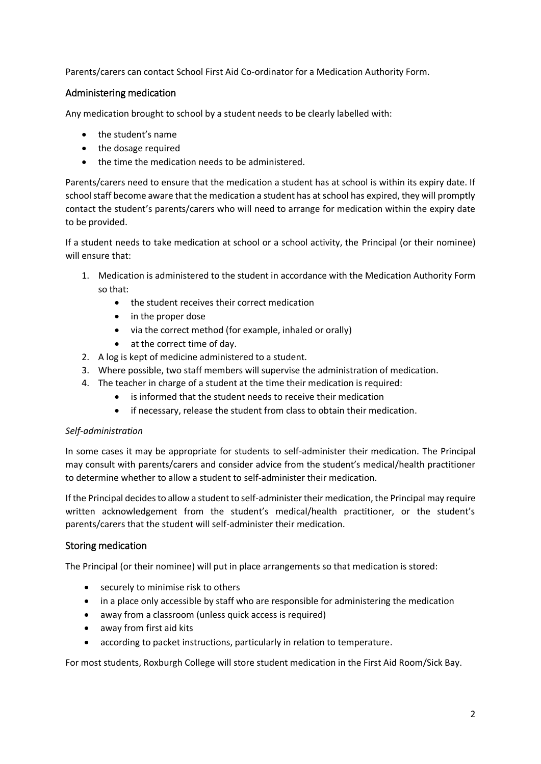Parents/carers can contact School First Aid Co-ordinator for a Medication Authority Form.

# Administering medication

Any medication brought to school by a student needs to be clearly labelled with:

- the student's name
- the dosage required
- the time the medication needs to be administered.

Parents/carers need to ensure that the medication a student has at school is within its expiry date. If school staff become aware that the medication a student has at school has expired, they will promptly contact the student's parents/carers who will need to arrange for medication within the expiry date to be provided.

If a student needs to take medication at school or a school activity, the Principal (or their nominee) will ensure that:

- 1. Medication is administered to the student in accordance with the Medication Authority Form so that:
	- the student receives their correct medication
	- in the proper dose
	- via the correct method (for example, inhaled or orally)
	- at the correct time of day.
- 2. A log is kept of medicine administered to a student.
- 3. Where possible, two staff members will supervise the administration of medication.
- 4. The teacher in charge of a student at the time their medication is required:
	- is informed that the student needs to receive their medication
	- if necessary, release the student from class to obtain their medication.

#### *Self-administration*

In some cases it may be appropriate for students to self-administer their medication. The Principal may consult with parents/carers and consider advice from the student's medical/health practitioner to determine whether to allow a student to self-administer their medication.

If the Principal decides to allow a student to self-administer their medication, the Principal may require written acknowledgement from the student's medical/health practitioner, or the student's parents/carers that the student will self-administer their medication.

#### Storing medication

The Principal (or their nominee) will put in place arrangements so that medication is stored:

- securely to minimise risk to others
- in a place only accessible by staff who are responsible for administering the medication
- away from a classroom (unless quick access is required)
- away from first aid kits
- according to packet instructions, particularly in relation to temperature.

For most students, Roxburgh College will store student medication in the First Aid Room/Sick Bay.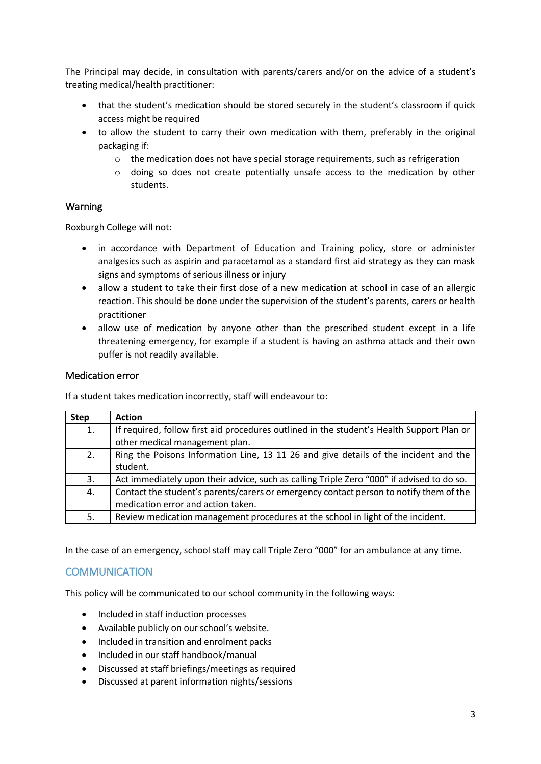The Principal may decide, in consultation with parents/carers and/or on the advice of a student's treating medical/health practitioner:

- that the student's medication should be stored securely in the student's classroom if quick access might be required
- to allow the student to carry their own medication with them, preferably in the original packaging if:
	- $\circ$  the medication does not have special storage requirements, such as refrigeration
	- o doing so does not create potentially unsafe access to the medication by other students.

#### Warning

Roxburgh College will not:

- in accordance with Department of Education and Training policy, store or administer analgesics such as aspirin and paracetamol as a standard first aid strategy as they can mask signs and symptoms of serious illness or injury
- allow a student to take their first dose of a new medication at school in case of an allergic reaction. This should be done under the supervision of the student's parents, carers or health practitioner
- allow use of medication by anyone other than the prescribed student except in a life threatening emergency, for example if a student is having an asthma attack and their own puffer is not readily available.

#### Medication error

If a student takes medication incorrectly, staff will endeavour to:

| <b>Step</b> | <b>Action</b>                                                                             |
|-------------|-------------------------------------------------------------------------------------------|
| 1.          | If required, follow first aid procedures outlined in the student's Health Support Plan or |
|             | other medical management plan.                                                            |
| 2.          | Ring the Poisons Information Line, 13 11 26 and give details of the incident and the      |
|             | student.                                                                                  |
| 3.          | Act immediately upon their advice, such as calling Triple Zero "000" if advised to do so. |
| 4.          | Contact the student's parents/carers or emergency contact person to notify them of the    |
|             | medication error and action taken.                                                        |
| 5.          | Review medication management procedures at the school in light of the incident.           |

In the case of an emergency, school staff may call Triple Zero "000" for an ambulance at any time.

# **COMMUNICATION**

This policy will be communicated to our school community in the following ways:

- Included in staff induction processes
- Available publicly on our school's website.
- Included in transition and enrolment packs
- Included in our staff handbook/manual
- Discussed at staff briefings/meetings as required
- Discussed at parent information nights/sessions